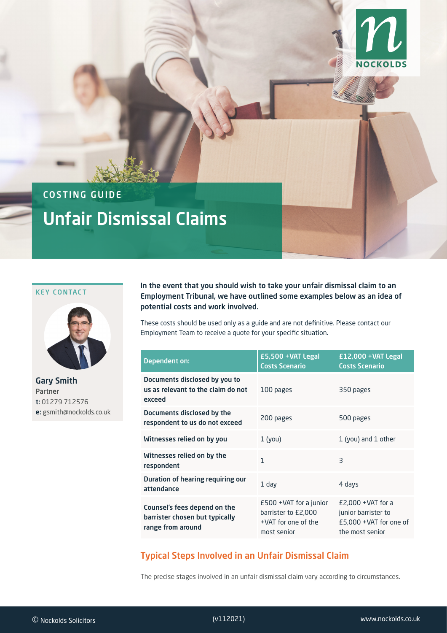

# COSTING GUIDE Unfair Dismissal Claims

#### KEY CONTACT



Gary Smith Partner t: 01279 712576 e: gsmith@nockolds.co.uk

In the event that you should wish to take your unfair dismissal claim to an Employment Tribunal, we have outlined some examples below as an idea of potential costs and work involved.

These costs should be used only as a guide and are not definitive. Please contact our Employment Team to receive a quote for your specific situation.

| <b>Dependent on:</b>                                                                | £5,500 +VAT Legal<br><b>Costs Scenario</b>                                             | £12,000 +VAT Legal<br><b>Costs Scenario</b>                                               |
|-------------------------------------------------------------------------------------|----------------------------------------------------------------------------------------|-------------------------------------------------------------------------------------------|
| Documents disclosed by you to<br>us as relevant to the claim do not<br>exceed       | 100 pages                                                                              | 350 pages                                                                                 |
| Documents disclosed by the<br>respondent to us do not exceed                        | 200 pages                                                                              | 500 pages                                                                                 |
| Witnesses relied on by you                                                          | $1$ (you)                                                                              | 1 (you) and 1 other                                                                       |
| Witnesses relied on by the<br>respondent                                            | 1                                                                                      | $\overline{\mathsf{B}}$                                                                   |
| Duration of hearing requiring our<br>attendance                                     | $1$ day                                                                                | 4 days                                                                                    |
| Counsel's fees depend on the<br>barrister chosen but typically<br>range from around | $£500 + VAT$ for a junior<br>barrister to £2,000<br>+VAT for one of the<br>most senior | $E2,000 + VAT$ for a<br>junior barrister to<br>£5,000 + VAT for one of<br>the most senior |

## Typical Steps Involved in an Unfair Dismissal Claim

The precise stages involved in an unfair dismissal claim vary according to circumstances.